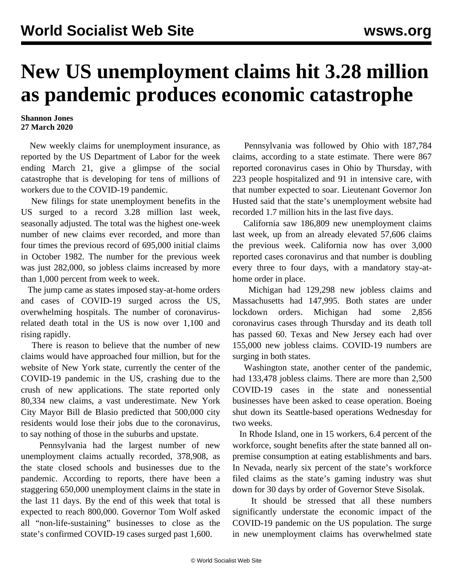## **New US unemployment claims hit 3.28 million as pandemic produces economic catastrophe**

## **Shannon Jones 27 March 2020**

 New weekly claims for unemployment insurance, as reported by the US Department of Labor for the week ending March 21, give a glimpse of the social catastrophe that is developing for tens of millions of workers due to the COVID-19 pandemic.

 New filings for state unemployment benefits in the US surged to a record 3.28 million last week, seasonally adjusted. The total was the highest one-week number of new claims ever recorded, and more than four times the previous record of 695,000 initial claims in October 1982. The number for the previous week was just 282,000, so jobless claims increased by more than 1,000 percent from week to week.

 The jump came as states imposed stay-at-home orders and cases of COVID-19 surged across the US, overwhelming hospitals. The number of coronavirusrelated death total in the US is now over 1,100 and rising rapidly.

 There is reason to believe that the number of new claims would have approached four million, but for the website of New York state, currently the center of the COVID-19 pandemic in the US, crashing due to the crush of new applications. The state reported only 80,334 new claims, a vast underestimate. New York City Mayor Bill de Blasio predicted that 500,000 city residents would lose their jobs due to the coronavirus, to say nothing of those in the suburbs and upstate.

 Pennsylvania had the largest number of new unemployment claims actually recorded, 378,908, as the state closed schools and businesses due to the pandemic. According to reports, there have been a staggering 650,000 unemployment claims in the state in the last 11 days. By the end of this week that total is expected to reach 800,000. Governor Tom Wolf asked all "non-life-sustaining" businesses to close as the state's confirmed COVID-19 cases surged past 1,600.

 Pennsylvania was followed by Ohio with 187,784 claims, according to a state estimate. There were 867 reported coronavirus cases in Ohio by Thursday, with 223 people hospitalized and 91 in intensive care, with that number expected to soar. Lieutenant Governor Jon Husted said that the state's unemployment website had recorded 1.7 million hits in the last five days.

 California saw 186,809 new unemployment claims last week, up from an already elevated 57,606 claims the previous week. California now has over 3,000 reported cases coronavirus and that number is doubling every three to four days, with a mandatory stay-athome order in place.

 Michigan had 129,298 new jobless claims and Massachusetts had 147,995. Both states are under lockdown orders. Michigan had some 2,856 coronavirus cases through Thursday and its death toll has passed 60. Texas and New Jersey each had over 155,000 new jobless claims. COVID-19 numbers are surging in both states.

 Washington state, another center of the pandemic, had 133,478 jobless claims. There are more than 2,500 COVID-19 cases in the state and nonessential businesses have been asked to cease operation. Boeing shut down its Seattle-based operations Wednesday for two weeks.

 In Rhode Island, one in 15 workers, 6.4 percent of the workforce, sought benefits after the state banned all onpremise consumption at eating establishments and bars. In Nevada, nearly six percent of the state's workforce filed claims as the state's gaming industry was shut down for 30 days by order of Governor Steve Sisolak.

 It should be stressed that all these numbers significantly understate the economic impact of the COVID-19 pandemic on the US population. The surge in new unemployment claims has overwhelmed state